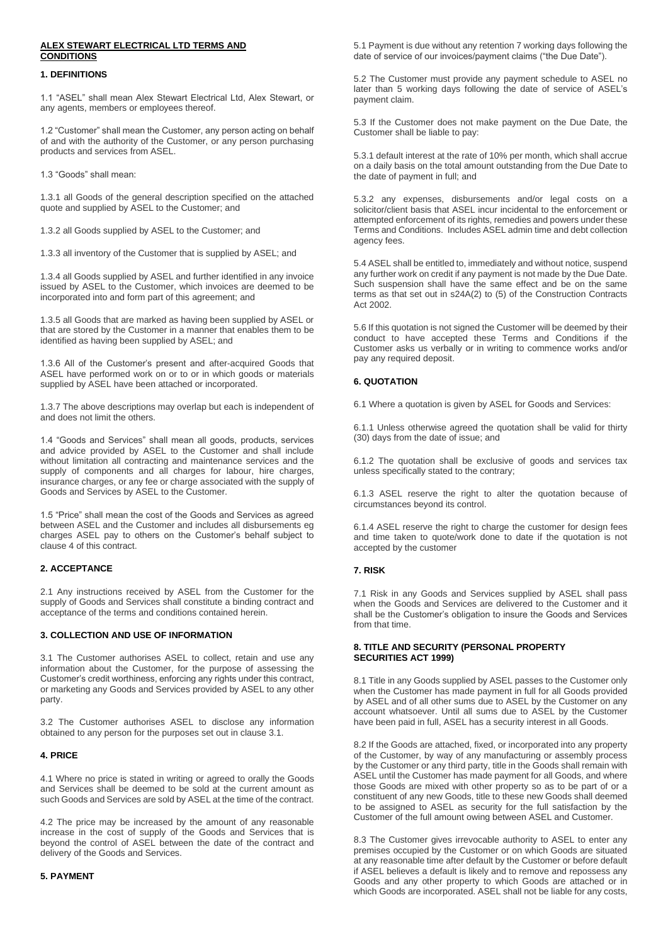# **ALEX STEWART ELECTRICAL LTD TERMS AND CONDITIONS**

## **1. DEFINITIONS**

1.1 "ASEL" shall mean Alex Stewart Electrical Ltd, Alex Stewart, or any agents, members or employees thereof.

1.2 "Customer" shall mean the Customer, any person acting on behalf of and with the authority of the Customer, or any person purchasing products and services from ASEL.

1.3 "Goods" shall mean:

1.3.1 all Goods of the general description specified on the attached quote and supplied by ASEL to the Customer; and

1.3.2 all Goods supplied by ASEL to the Customer; and

1.3.3 all inventory of the Customer that is supplied by ASEL; and

1.3.4 all Goods supplied by ASEL and further identified in any invoice issued by ASEL to the Customer, which invoices are deemed to be incorporated into and form part of this agreement; and

1.3.5 all Goods that are marked as having been supplied by ASEL or that are stored by the Customer in a manner that enables them to be identified as having been supplied by ASEL; and

1.3.6 All of the Customer's present and after-acquired Goods that ASEL have performed work on or to or in which goods or materials supplied by ASEL have been attached or incorporated.

1.3.7 The above descriptions may overlap but each is independent of and does not limit the others.

1.4 "Goods and Services" shall mean all goods, products, services and advice provided by ASEL to the Customer and shall include without limitation all contracting and maintenance services and the supply of components and all charges for labour, hire charges, insurance charges, or any fee or charge associated with the supply of Goods and Services by ASEL to the Customer.

1.5 "Price" shall mean the cost of the Goods and Services as agreed between ASEL and the Customer and includes all disbursements eg charges ASEL pay to others on the Customer's behalf subject to clause 4 of this contract.

# **2. ACCEPTANCE**

2.1 Any instructions received by ASEL from the Customer for the supply of Goods and Services shall constitute a binding contract and acceptance of the terms and conditions contained herein.

### **3. COLLECTION AND USE OF INFORMATION**

3.1 The Customer authorises ASEL to collect, retain and use any information about the Customer, for the purpose of assessing the Customer's credit worthiness, enforcing any rights under this contract, or marketing any Goods and Services provided by ASEL to any other party.

3.2 The Customer authorises ASEL to disclose any information obtained to any person for the purposes set out in clause 3.1.

# **4. PRICE**

4.1 Where no price is stated in writing or agreed to orally the Goods and Services shall be deemed to be sold at the current amount as such Goods and Services are sold by ASEL at the time of the contract.

4.2 The price may be increased by the amount of any reasonable increase in the cost of supply of the Goods and Services that is beyond the control of ASEL between the date of the contract and delivery of the Goods and Services.

#### **5. PAYMENT**

5.1 Payment is due without any retention 7 working days following the date of service of our invoices/payment claims ("the Due Date").

5.2 The Customer must provide any payment schedule to ASEL no later than 5 working days following the date of service of ASEL's payment claim.

5.3 If the Customer does not make payment on the Due Date, the Customer shall be liable to pay:

5.3.1 default interest at the rate of 10% per month, which shall accrue on a daily basis on the total amount outstanding from the Due Date to the date of payment in full; and

5.3.2 any expenses, disbursements and/or legal costs on a solicitor/client basis that ASEL incur incidental to the enforcement or attempted enforcement of its rights, remedies and powers under these Terms and Conditions. Includes ASEL admin time and debt collection agency fees.

5.4 ASEL shall be entitled to, immediately and without notice, suspend any further work on credit if any payment is not made by the Due Date. Such suspension shall have the same effect and be on the same terms as that set out in s24A(2) to (5) of the Construction Contracts Act 2002.

5.6 If this quotation is not signed the Customer will be deemed by their conduct to have accepted these Terms and Conditions if the Customer asks us verbally or in writing to commence works and/or pay any required deposit.

# **6. QUOTATION**

6.1 Where a quotation is given by ASEL for Goods and Services:

6.1.1 Unless otherwise agreed the quotation shall be valid for thirty (30) days from the date of issue; and

6.1.2 The quotation shall be exclusive of goods and services tax unless specifically stated to the contrary;

6.1.3 ASEL reserve the right to alter the quotation because of circumstances beyond its control.

6.1.4 ASEL reserve the right to charge the customer for design fees and time taken to quote/work done to date if the quotation is not accepted by the customer

## **7. RISK**

7.1 Risk in any Goods and Services supplied by ASEL shall pass when the Goods and Services are delivered to the Customer and it shall be the Customer's obligation to insure the Goods and Services from that time.

#### **8. TITLE AND SECURITY (PERSONAL PROPERTY SECURITIES ACT 1999)**

8.1 Title in any Goods supplied by ASEL passes to the Customer only when the Customer has made payment in full for all Goods provided by ASEL and of all other sums due to ASEL by the Customer on any account whatsoever. Until all sums due to ASEL by the Customer have been paid in full, ASEL has a security interest in all Goods.

8.2 If the Goods are attached, fixed, or incorporated into any property of the Customer, by way of any manufacturing or assembly process by the Customer or any third party, title in the Goods shall remain with ASEL until the Customer has made payment for all Goods, and where those Goods are mixed with other property so as to be part of or a constituent of any new Goods, title to these new Goods shall deemed to be assigned to ASEL as security for the full satisfaction by the Customer of the full amount owing between ASEL and Customer.

8.3 The Customer gives irrevocable authority to ASEL to enter any premises occupied by the Customer or on which Goods are situated at any reasonable time after default by the Customer or before default if ASEL believes a default is likely and to remove and repossess any Goods and any other property to which Goods are attached or in which Goods are incorporated. ASEL shall not be liable for any costs,